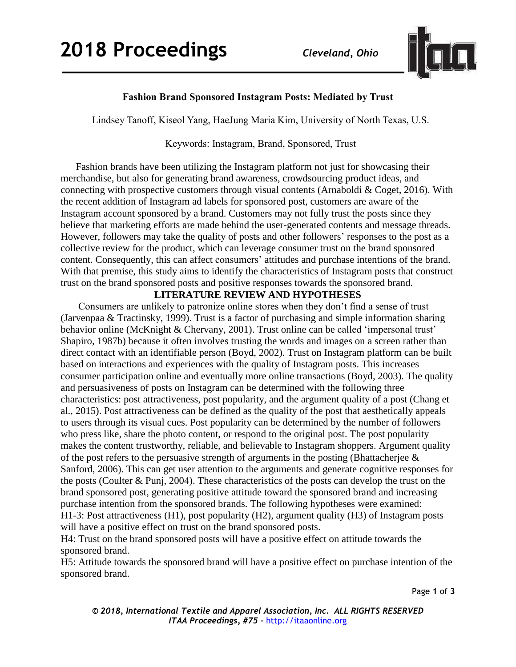

## **Fashion Brand Sponsored Instagram Posts: Mediated by Trust**

Lindsey Tanoff, Kiseol Yang, HaeJung Maria Kim, University of North Texas, U.S.

### Keywords: Instagram, Brand, Sponsored, Trust

 Fashion brands have been utilizing the Instagram platform not just for showcasing their merchandise, but also for generating brand awareness, crowdsourcing product ideas, and connecting with prospective customers through visual contents (Arnaboldi & Coget, 2016). With the recent addition of Instagram ad labels for sponsored post, customers are aware of the Instagram account sponsored by a brand. Customers may not fully trust the posts since they believe that marketing efforts are made behind the user-generated contents and message threads. However, followers may take the quality of posts and other followers' responses to the post as a collective review for the product, which can leverage consumer trust on the brand sponsored content. Consequently, this can affect consumers' attitudes and purchase intentions of the brand. With that premise, this study aims to identify the characteristics of Instagram posts that construct trust on the brand sponsored posts and positive responses towards the sponsored brand.

### **LITERATURE REVIEW AND HYPOTHESES**

Consumers are unlikely to patronize online stores when they don't find a sense of trust (Jarvenpaa & Tractinsky, 1999). Trust is a factor of purchasing and simple information sharing behavior online (McKnight & Chervany, 2001). Trust online can be called 'impersonal trust' Shapiro, 1987b) because it often involves trusting the words and images on a screen rather than direct contact with an identifiable person (Boyd, 2002). Trust on Instagram platform can be built based on interactions and experiences with the quality of Instagram posts. This increases consumer participation online and eventually more online transactions (Boyd, 2003). The quality and persuasiveness of posts on Instagram can be determined with the following three characteristics: post attractiveness, post popularity, and the argument quality of a post (Chang et al., 2015). Post attractiveness can be defined as the quality of the post that aesthetically appeals to users through its visual cues. Post popularity can be determined by the number of followers who press like, share the photo content, or respond to the original post. The post popularity makes the content trustworthy, reliable, and believable to Instagram shoppers. Argument quality of the post refers to the persuasive strength of arguments in the posting (Bhattacherjee  $\&$ Sanford, 2006). This can get user attention to the arguments and generate cognitive responses for the posts (Coulter & Punj, 2004). These characteristics of the posts can develop the trust on the brand sponsored post, generating positive attitude toward the sponsored brand and increasing purchase intention from the sponsored brands. The following hypotheses were examined: H1-3: Post attractiveness (H1), post popularity (H2), argument quality (H3) of Instagram posts will have a positive effect on trust on the brand sponsored posts.

H4: Trust on the brand sponsored posts will have a positive effect on attitude towards the sponsored brand.

H5: Attitude towards the sponsored brand will have a positive effect on purchase intention of the sponsored brand.

Page **1** of **3**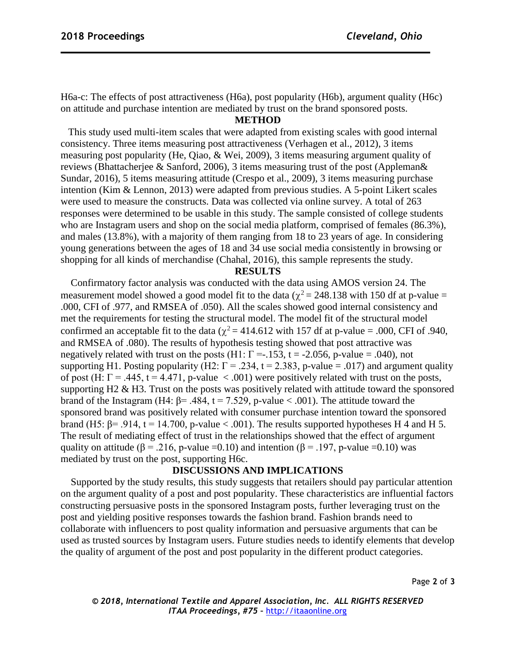H6a-c: The effects of post attractiveness (H6a), post popularity (H6b), argument quality (H6c) on attitude and purchase intention are mediated by trust on the brand sponsored posts.

### **METHOD**

 This study used multi-item scales that were adapted from existing scales with good internal consistency. Three items measuring post attractiveness (Verhagen et al., 2012), 3 items measuring post popularity (He, Qiao, & Wei, 2009), 3 items measuring argument quality of reviews (Bhattacherjee & Sanford, 2006), 3 items measuring trust of the post (Appleman& Sundar, 2016), 5 items measuring attitude (Crespo et al., 2009), 3 items measuring purchase intention (Kim & Lennon, 2013) were adapted from previous studies. A 5-point Likert scales were used to measure the constructs. Data was collected via online survey. A total of 263 responses were determined to be usable in this study. The sample consisted of college students who are Instagram users and shop on the social media platform, comprised of females (86.3%), and males (13.8%), with a majority of them ranging from 18 to 23 years of age. In considering young generations between the ages of 18 and 34 use social media consistently in browsing or shopping for all kinds of merchandise (Chahal, 2016), this sample represents the study.

#### **RESULTS**

 Confirmatory factor analysis was conducted with the data using AMOS version 24. The measurement model showed a good model fit to the data ( $\chi^2$  = 248.138 with 150 df at p-value = .000, CFI of .977, and RMSEA of .050). All the scales showed good internal consistency and met the requirements for testing the structural model. The model fit of the structural model confirmed an acceptable fit to the data ( $\chi^2$  = 414.612 with 157 df at p-value = .000, CFI of .940, and RMSEA of .080). The results of hypothesis testing showed that post attractive was negatively related with trust on the posts (H1:  $\Gamma = -153$ ,  $t = -2.056$ , p-value = .040), not supporting H1. Posting popularity (H2:  $\Gamma = .234$ ,  $t = 2.383$ , p-value = .017) and argument quality of post (H:  $\Gamma = .445$ ,  $t = 4.471$ , p-value < .001) were positively related with trust on the posts, supporting H2 & H3. Trust on the posts was positively related with attitude toward the sponsored brand of the Instagram (H4: β= .484, t = 7.529, p-value < .001). The attitude toward the sponsored brand was positively related with consumer purchase intention toward the sponsored brand (H5:  $\beta$ = .914, t = 14.700, p-value < .001). The results supported hypotheses H 4 and H 5. The result of mediating effect of trust in the relationships showed that the effect of argument quality on attitude ( $\beta$  = .216, p-value =0.10) and intention ( $\beta$  = .197, p-value =0.10) was mediated by trust on the post, supporting H6c.

### **DISCUSSIONS AND IMPLICATIONS**

 Supported by the study results, this study suggests that retailers should pay particular attention on the argument quality of a post and post popularity. These characteristics are influential factors constructing persuasive posts in the sponsored Instagram posts, further leveraging trust on the post and yielding positive responses towards the fashion brand. Fashion brands need to collaborate with influencers to post quality information and persuasive arguments that can be used as trusted sources by Instagram users. Future studies needs to identify elements that develop the quality of argument of the post and post popularity in the different product categories.

Page **2** of **3**

*© 2018, International Textile and Apparel Association, Inc. ALL RIGHTS RESERVED ITAA Proceedings, #75 –* [http://itaaonline.org](http://itaaonline.org/)